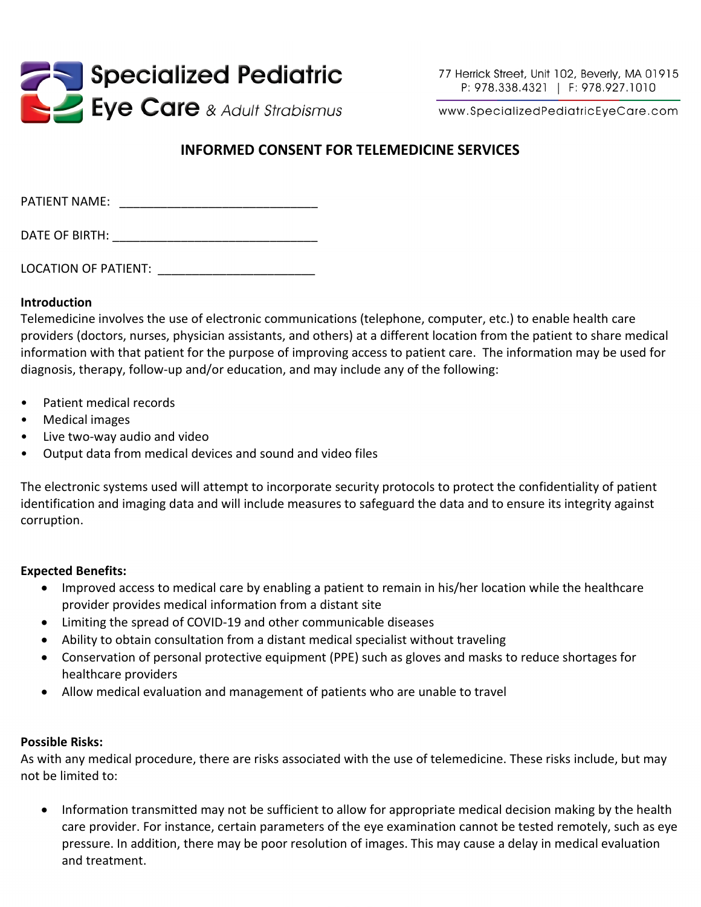

www.SpecializedPediatricEyeCare.com

# **INFORMED CONSENT FOR TELEMEDICINE SERVICES**

| PATIENT NAME:  |  |  |
|----------------|--|--|
| DATE OF BIRTH: |  |  |

LOCATION OF PATIENT:

### **Introduction**

Telemedicine involves the use of electronic communications (telephone, computer, etc.) to enable health care providers (doctors, nurses, physician assistants, and others) at a different location from the patient to share medical information with that patient for the purpose of improving access to patient care. The information may be used for diagnosis, therapy, follow-up and/or education, and may include any of the following:

- Patient medical records
- Medical images
- Live two-way audio and video
- Output data from medical devices and sound and video files

The electronic systems used will attempt to incorporate security protocols to protect the confidentiality of patient identification and imaging data and will include measures to safeguard the data and to ensure its integrity against corruption.

#### **Expected Benefits:**

- Improved access to medical care by enabling a patient to remain in his/her location while the healthcare provider provides medical information from a distant site
- Limiting the spread of COVID-19 and other communicable diseases
- Ability to obtain consultation from a distant medical specialist without traveling
- Conservation of personal protective equipment (PPE) such as gloves and masks to reduce shortages for healthcare providers
- Allow medical evaluation and management of patients who are unable to travel

#### **Possible Risks:**

As with any medical procedure, there are risks associated with the use of telemedicine. These risks include, but may not be limited to:

• Information transmitted may not be sufficient to allow for appropriate medical decision making by the health care provider. For instance, certain parameters of the eye examination cannot be tested remotely, such as eye pressure. In addition, there may be poor resolution of images. This may cause a delay in medical evaluation and treatment.